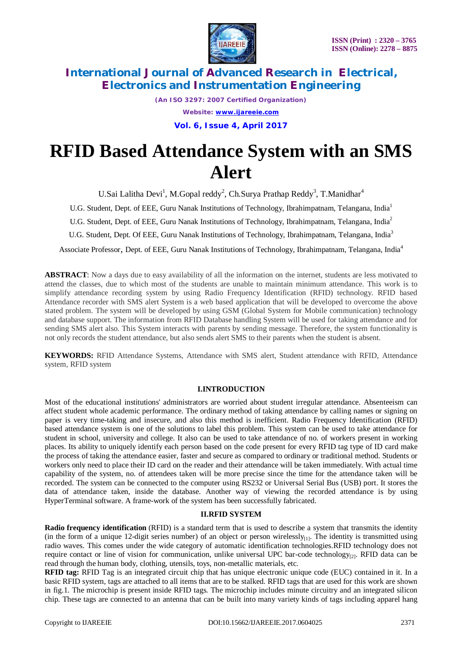

> *(An ISO 3297: 2007 Certified Organization) Website: [www.ijareeie.com](http://www.ijareeie.com)* **Vol. 6, Issue 4, April 2017**

# **RFID Based Attendance System with an SMS Alert**

U.Sai Lalitha Devi<sup>1</sup>, M.Gopal reddy<sup>2</sup>, Ch.Surya Prathap Reddy<sup>3</sup>, T.Manidhar<sup>4</sup>

U.G. Student, Dept. of EEE, Guru Nanak Institutions of Technology, Ibrahimpatnam, Telangana, India<sup>1</sup>

U.G. Student, Dept. of EEE, Guru Nanak Institutions of Technology, Ibrahimpatnam, Telangana, India<sup>2</sup>

U.G. Student, Dept. Of EEE, Guru Nanak Institutions of Technology, Ibrahimpatnam, Telangana, India<sup>3</sup>

Associate Professor, Dept. of EEE, Guru Nanak Institutions of Technology, Ibrahimpatnam, Telangana, India<sup>4</sup>

**ABSTRACT**: Now a days due to easy availability of all the information on the internet, students are less motivated to attend the classes, due to which most of the students are unable to maintain minimum attendance. This work is to simplify attendance recording system by using Radio Frequency Identification (RFID) technology. RFID based Attendance recorder with SMS alert System is a web based application that will be developed to overcome the above stated problem. The system will be developed by using GSM (Global System for Mobile communication) technology and database support. The information from RFID Database handling System will be used for taking attendance and for sending SMS alert also. This System interacts with parents by sending message. Therefore, the system functionality is not only records the student attendance, but also sends alert SMS to their parents when the student is absent.

**KEYWORDS:** RFID Attendance Systems, Attendance with SMS alert, Student attendance with RFID, Attendance system, RFID system

#### **I.INTRODUCTION**

Most of the educational institutions' administrators are worried about student irregular attendance. Absenteeism can affect student whole academic performance. The ordinary method of taking attendance by calling names or signing on paper is very time-taking and insecure, and also this method is inefficient. Radio Frequency Identification (RFID) based attendance system is one of the solutions to label this problem. This system can be used to take attendance for student in school, university and college. It also can be used to take attendance of no. of workers present in working places. Its ability to uniquely identify each person based on the code present for every RFID tag type of ID card make the process of taking the attendance easier, faster and secure as compared to ordinary or traditional method. Students or workers only need to place their ID card on the reader and their attendance will be taken immediately. With actual time capability of the system, no. of attendees taken will be more precise since the time for the attendance taken will be recorded. The system can be connected to the computer using RS232 or Universal Serial Bus (USB) port. It stores the data of attendance taken, inside the database. Another way of viewing the recorded attendance is by using HyperTerminal software. A frame-work of the system has been successfully fabricated.

### **II.RFID SYSTEM**

**Radio frequency identification** (RFID) is a standard term that is used to describe a system that transmits the identity (in the form of a unique 12-digit series number) of an object or person wirelessly $_{[1]}$ . The identity is transmitted using radio waves. This comes under the wide category of automatic identification technologies.RFID technology does not require contact or line of vision for communication, unlike universal UPC bar-code technology $q_{21}$ . RFID data can be read through the human body, clothing, utensils, toys, non-metallic materials, etc.

**RFID tag:** RFID Tag is an integrated circuit chip that has unique electronic unique code (EUC) contained in it. In a basic RFID system, tags are attached to all items that are to be stalked. RFID tags that are used for this work are shown in fig.1. The microchip is present inside RFID tags. The microchip includes minute circuitry and an integrated silicon chip. These tags are connected to an antenna that can be built into many variety kinds of tags including apparel hang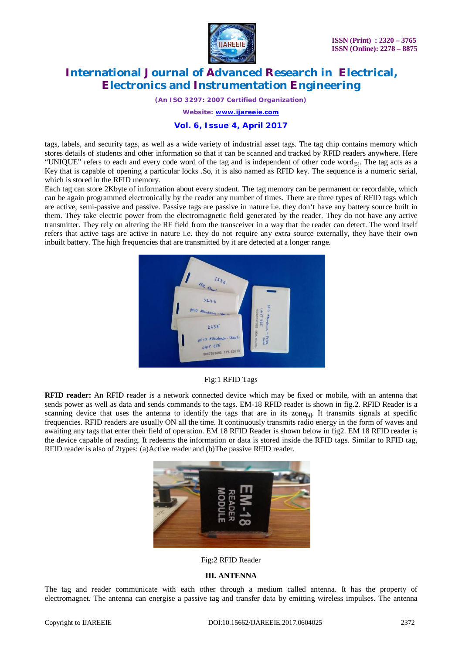

*(An ISO 3297: 2007 Certified Organization)*

*Website: [www.ijareeie.com](http://www.ijareeie.com)*

### **Vol. 6, Issue 4, April 2017**

tags, labels, and security tags, as well as a wide variety of industrial asset tags. The tag chip contains memory which stores details of students and other information so that it can be scanned and tracked by RFID readers anywhere. Here "UNIQUE" refers to each and every code word of the tag and is independent of other code word[5]. The tag acts as a Key that is capable of opening a particular locks .So, it is also named as RFID key. The sequence is a numeric serial, which is stored in the RFID memory.

Each tag can store 2Kbyte of information about every student. The tag memory can be permanent or recordable, which can be again programmed electronically by the reader any number of times. There are three types of RFID tags which are active, semi-passive and passive. Passive tags are passive in nature i.e. they don't have any battery source built in them. They take electric power from the electromagnetic field generated by the reader. They do not have any active transmitter. They rely on altering the RF field from the transceiver in a way that the reader can detect. The word itself refers that active tags are active in nature i.e. they do not require any extra source externally, they have their own inbuilt battery. The high frequencies that are transmitted by it are detected at a longer range.



Fig:1 RFID Tags

**RFID reader:** An RFID reader is a network connected device which may be fixed or mobile, with an antenna that sends power as well as data and sends commands to the tags. EM-18 RFID reader is shown in fig.2. RFID Reader is a scanning device that uses the antenna to identify the tags that are in its zone $_{[4]}$ . It transmits signals at specific frequencies. RFID readers are usually ON all the time. It continuously transmits radio energy in the form of waves and awaiting any tags that enter their field of operation. EM 18 RFID Reader is shown below in fig2. EM 18 RFID reader is the device capable of reading. It redeems the information or data is stored inside the RFID tags. Similar to RFID tag, RFID reader is also of 2types: (a)Active reader and (b)The passive RFID reader.



Fig:2 RFID Reader

### **III. ANTENNA**

The tag and reader communicate with each other through a medium called antenna. It has the property of electromagnet. The antenna can energise a passive tag and transfer data by emitting wireless impulses. The antenna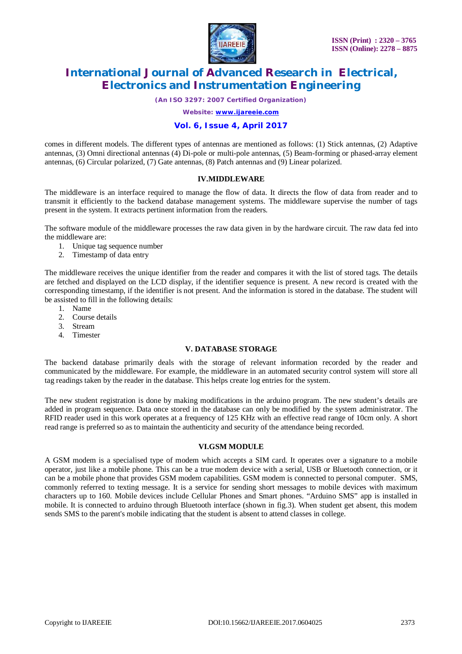

*(An ISO 3297: 2007 Certified Organization)*

*Website: [www.ijareeie.com](http://www.ijareeie.com)*

### **Vol. 6, Issue 4, April 2017**

comes in different models. The different types of antennas are mentioned as follows: (1) Stick antennas, (2) Adaptive antennas, (3) Omni directional antennas (4) Di-pole or multi-pole antennas, (5) Beam-forming or phased-array element antennas, (6) Circular polarized, (7) Gate antennas, (8) Patch antennas and (9) Linear polarized.

### **IV.MIDDLEWARE**

The middleware is an interface required to manage the flow of data. It directs the flow of data from reader and to transmit it efficiently to the backend database management systems. The middleware supervise the number of tags present in the system. It extracts pertinent information from the readers.

The software module of the middleware processes the raw data given in by the hardware circuit. The raw data fed into the middleware are:

- 1. Unique tag sequence number
- 2. Timestamp of data entry

The middleware receives the unique identifier from the reader and compares it with the list of stored tags. The details are fetched and displayed on the LCD display, if the identifier sequence is present. A new record is created with the corresponding timestamp, if the identifier is not present. And the information is stored in the database. The student will be assisted to fill in the following details:

- 1. Name
- 2. Course details
- 3. Stream
- 4. Timester

#### **V. DATABASE STORAGE**

The backend database primarily deals with the storage of relevant information recorded by the reader and communicated by the middleware. For example, the middleware in an automated security control system will store all tag readings taken by the reader in the database. This helps create log entries for the system.

The new student registration is done by making modifications in the arduino program. The new student's details are added in program sequence. Data once stored in the database can only be modified by the system administrator. The RFID reader used in this work operates at a frequency of 125 KHz with an effective read range of 10cm only. A short read range is preferred so as to maintain the authenticity and security of the attendance being recorded.

#### **VI.GSM MODULE**

A GSM modem is a specialised type of modem which accepts a SIM card. It operates over a signature to a mobile operator, just like a mobile phone. This can be a true modem device with a serial, USB or Bluetooth connection, or it can be a mobile phone that provides GSM modem capabilities. GSM modem is connected to personal computer. SMS, commonly referred to texting message. It is a service for sending short messages to mobile devices with maximum characters up to 160. Mobile devices include Cellular Phones and Smart phones. "Arduino SMS" app is installed in mobile. It is connected to arduino through Bluetooth interface (shown in fig.3). When student get absent, this modem sends SMS to the parent's mobile indicating that the student is absent to attend classes in college.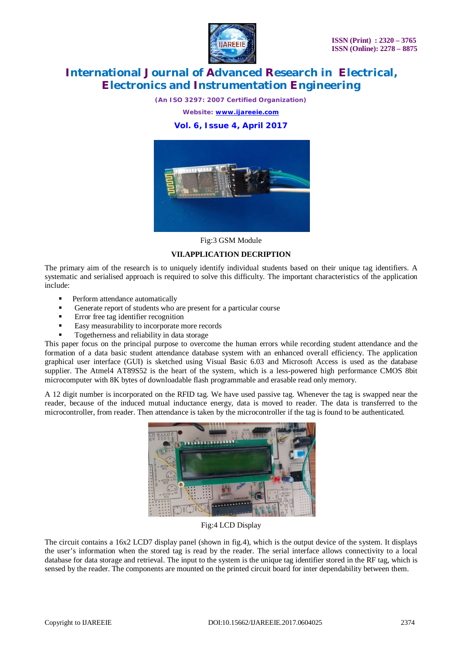

*(An ISO 3297: 2007 Certified Organization)*

*Website: [www.ijareeie.com](http://www.ijareeie.com)*

### **Vol. 6, Issue 4, April 2017**



Fig:3 GSM Module

### **VII.APPLICATION DECRIPTION**

The primary aim of the research is to uniquely identify individual students based on their unique tag identifiers. A systematic and serialised approach is required to solve this difficulty. The important characteristics of the application include:

- Perform attendance automatically
- Generate report of students who are present for a particular course
- Error free tag identifier recognition
- Easy measurability to incorporate more records
- Togetherness and reliability in data storage

This paper focus on the principal purpose to overcome the human errors while recording student attendance and the formation of a data basic student attendance database system with an enhanced overall efficiency. The application graphical user interface (GUI) is sketched using Visual Basic 6.03 and Microsoft Access is used as the database supplier. The Atmel4 AT89S52 is the heart of the system, which is a less-powered high performance CMOS 8bit microcomputer with 8K bytes of downloadable flash programmable and erasable read only memory.

A 12 digit number is incorporated on the RFID tag. We have used passive tag. Whenever the tag is swapped near the reader, because of the induced mutual inductance energy, data is moved to reader. The data is transferred to the microcontroller, from reader. Then attendance is taken by the microcontroller if the tag is found to be authenticated.



Fig:4 LCD Display

The circuit contains a 16x2 LCD7 display panel (shown in fig.4), which is the output device of the system. It displays the user's information when the stored tag is read by the reader. The serial interface allows connectivity to a local database for data storage and retrieval. The input to the system is the unique tag identifier stored in the RF tag, which is sensed by the reader. The components are mounted on the printed circuit board for inter dependability between them.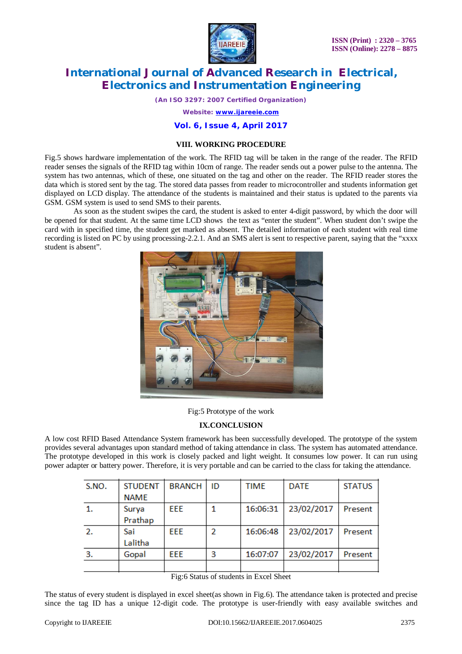

*(An ISO 3297: 2007 Certified Organization)*

*Website: [www.ijareeie.com](http://www.ijareeie.com)*

### **Vol. 6, Issue 4, April 2017**

### **VIII. WORKING PROCEDURE**

Fig.5 shows hardware implementation of the work. The RFID tag will be taken in the range of the reader. The RFID reader senses the signals of the RFID tag within 10cm of range. The reader sends out a power pulse to the antenna. The system has two antennas, which of these, one situated on the tag and other on the reader. The RFID reader stores the data which is stored sent by the tag. The stored data passes from reader to microcontroller and students information get displayed on LCD display. The attendance of the students is maintained and their status is updated to the parents via GSM. GSM system is used to send SMS to their parents.

 As soon as the student swipes the card, the student is asked to enter 4-digit password, by which the door will be opened for that student. At the same time LCD shows the text as "enter the student". When student don't swipe the card with in specified time, the student get marked as absent. The detailed information of each student with real time recording is listed on PC by using processing-2.2.1. And an SMS alert is sent to respective parent, saying that the "xxxx student is absent".



Fig:5 Prototype of the work

### **IX.CONCLUSION**

A low cost RFID Based Attendance System framework has been successfully developed. The prototype of the system provides several advantages upon standard method of taking attendance in class. The system has automated attendance. The prototype developed in this work is closely packed and light weight. It consumes low power. It can run using power adapter or battery power. Therefore, it is very portable and can be carried to the class for taking the attendance.

| S.NO. | <b>STUDENT</b><br><b>NAME</b> | <b>BRANCH</b> | ID | TIME     | <b>DATE</b> | <b>STATUS</b> |
|-------|-------------------------------|---------------|----|----------|-------------|---------------|
|       | Surya<br>Prathap              | EEE           |    | 16:06:31 | 23/02/2017  | Present       |
| 2.    | Sai<br>Lalitha                | EEE           | 2  | 16:06:48 | 23/02/2017  | Present       |
| 3.    | Gopal                         | EEE           | 3  | 16:07:07 | 23/02/2017  | Present       |
|       |                               |               |    |          |             |               |

Fig:6 Status of students in Excel Sheet

The status of every student is displayed in excel sheet(as shown in Fig.6). The attendance taken is protected and precise since the tag ID has a unique 12-digit code. The prototype is user-friendly with easy available switches and